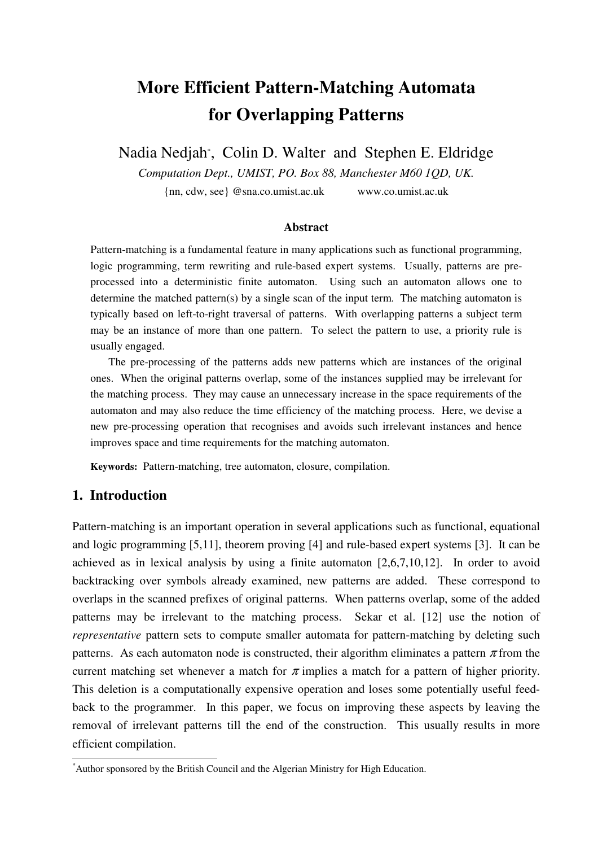# **More Efficient Pattern-Matching Automata for Overlapping Patterns**

Nadia Nedjah\* , Colin D. Walter and Stephen E. Eldridge

*Computation Dept., UMIST, PO. Box 88, Manchester M60 1QD, UK.* 

{nn, cdw, see} @sna.co.umist.ac.uk www.co.umist.ac.uk

#### **Abstract**

Pattern-matching is a fundamental feature in many applications such as functional programming, logic programming, term rewriting and rule-based expert systems. Usually, patterns are preprocessed into a deterministic finite automaton. Using such an automaton allows one to determine the matched pattern(s) by a single scan of the input term. The matching automaton is typically based on left-to-right traversal of patterns. With overlapping patterns a subject term may be an instance of more than one pattern. To select the pattern to use, a priority rule is usually engaged.

 The pre-processing of the patterns adds new patterns which are instances of the original ones. When the original patterns overlap, some of the instances supplied may be irrelevant for the matching process. They may cause an unnecessary increase in the space requirements of the automaton and may also reduce the time efficiency of the matching process. Here, we devise a new pre-processing operation that recognises and avoids such irrelevant instances and hence improves space and time requirements for the matching automaton.

**Keywords:** Pattern-matching, tree automaton, closure, compilation.

## **1. Introduction**

 $\overline{a}$ 

Pattern-matching is an important operation in several applications such as functional, equational and logic programming [5,11], theorem proving [4] and rule-based expert systems [3]. It can be achieved as in lexical analysis by using a finite automaton [2,6,7,10,12]. In order to avoid backtracking over symbols already examined, new patterns are added. These correspond to overlaps in the scanned prefixes of original patterns. When patterns overlap, some of the added patterns may be irrelevant to the matching process. Sekar et al. [12] use the notion of *representative* pattern sets to compute smaller automata for pattern-matching by deleting such patterns. As each automaton node is constructed, their algorithm eliminates a pattern  $\pi$  from the current matching set whenever a match for  $\pi$  implies a match for a pattern of higher priority. This deletion is a computationally expensive operation and loses some potentially useful feedback to the programmer. In this paper, we focus on improving these aspects by leaving the removal of irrelevant patterns till the end of the construction. This usually results in more efficient compilation.

<sup>\*</sup>Author sponsored by the British Council and the Algerian Ministry for High Education.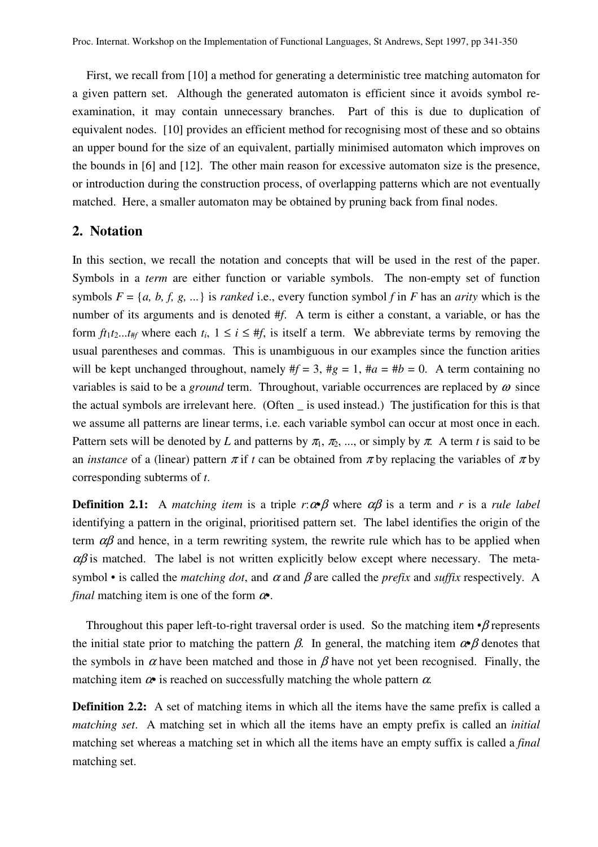First, we recall from [10] a method for generating a deterministic tree matching automaton for a given pattern set. Although the generated automaton is efficient since it avoids symbol reexamination, it may contain unnecessary branches. Part of this is due to duplication of equivalent nodes. [10] provides an efficient method for recognising most of these and so obtains an upper bound for the size of an equivalent, partially minimised automaton which improves on the bounds in [6] and [12]. The other main reason for excessive automaton size is the presence, or introduction during the construction process, of overlapping patterns which are not eventually matched. Here, a smaller automaton may be obtained by pruning back from final nodes.

### **2. Notation**

In this section, we recall the notation and concepts that will be used in the rest of the paper. Symbols in a *term* are either function or variable symbols. The non-empty set of function symbols  $F = \{a, b, f, g, ...\}$  is *ranked* i.e., every function symbol *f* in *F* has an *arity* which is the number of its arguments and is denoted #*f*. A term is either a constant, a variable, or has the form  $ft_1t_2...t_{\text{ff}}$  where each  $t_i$ ,  $1 \le i \le \text{ff}$ , is itself a term. We abbreviate terms by removing the usual parentheses and commas. This is unambiguous in our examples since the function arities will be kept unchanged throughout, namely  $#f = 3$ ,  $#g = 1$ ,  $#a = #b = 0$ . A term containing no variables is said to be a *ground* term. Throughout, variable occurrences are replaced by  $\omega$  since the actual symbols are irrelevant here. (Often \_ is used instead.) The justification for this is that we assume all patterns are linear terms, i.e. each variable symbol can occur at most once in each. Pattern sets will be denoted by *L* and patterns by  $\pi_1$ ,  $\pi_2$ , ..., or simply by  $\pi$ . A term *t* is said to be an *instance* of a (linear) pattern  $\pi$  if *t* can be obtained from  $\pi$  by replacing the variables of  $\pi$  by corresponding subterms of *t*.

**Definition 2.1:** A *matching item* is a triple  $r:\alpha \beta$  where  $\alpha \beta$  is a term and *r* is a *rule label* identifying a pattern in the original, prioritised pattern set. The label identifies the origin of the term  $\alpha\beta$  and hence, in a term rewriting system, the rewrite rule which has to be applied when  $\alpha\beta$  is matched. The label is not written explicitly below except where necessary. The metasymbol • is called the *matching dot*, and  $\alpha$  and  $\beta$  are called the *prefix* and *suffix* respectively. A *final* matching item is one of the form  $\alpha$ .

Throughout this paper left-to-right traversal order is used. So the matching item *•*β represents the initial state prior to matching the pattern  $\beta$ . In general, the matching item  $\alpha \beta$  denotes that the symbols in  $\alpha$  have been matched and those in  $\beta$  have not yet been recognised. Finally, the matching item  $\alpha$ <sup>*i*</sup> is reached on successfully matching the whole pattern  $\alpha$ .

**Definition 2.2:** A set of matching items in which all the items have the same prefix is called a *matching set*. A matching set in which all the items have an empty prefix is called an *initial*  matching set whereas a matching set in which all the items have an empty suffix is called a *final*  matching set.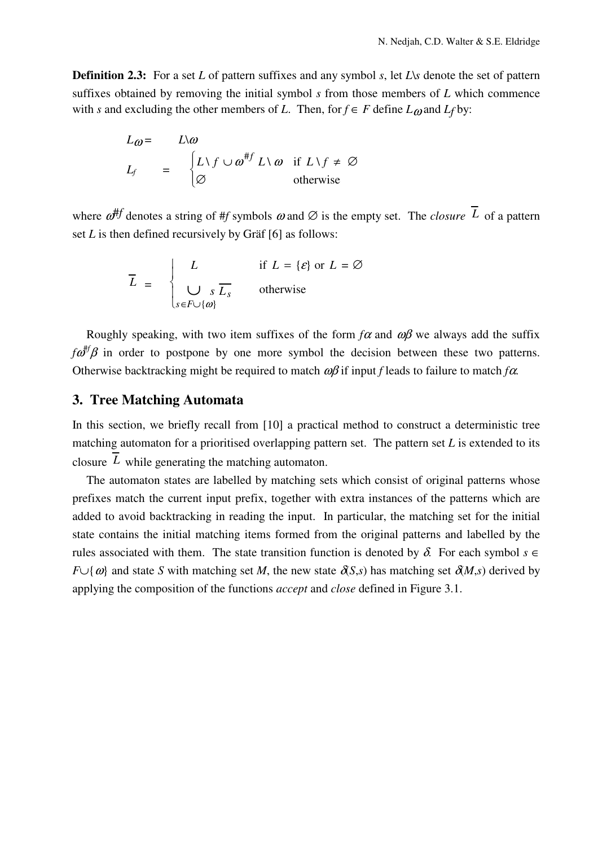**Definition 2.3:** For a set *L* of pattern suffixes and any symbol *s*, let *L*\*s* denote the set of pattern suffixes obtained by removing the initial symbol *s* from those members of *L* which commence with *s* and excluding the other members of *L*. Then, for  $f \in F$  define  $L_{\omega}$  and  $L_f$  by:

$$
L_{\omega} = L\omega
$$
  
\n
$$
L_{f} = \begin{cases} L\setminus f \cup \omega^{\# f} & L\setminus \omega \text{ if } L\setminus f \neq \varnothing \\ \varnothing & \text{otherwise} \end{cases}
$$

where  $\omega^{#f}$  denotes a string of #*f* symbols  $\omega$  and  $\varnothing$  is the empty set. The *closure*  $\overline{L}$  of a pattern set *L* is then defined recursively by Gräf [6] as follows:

$$
\overline{L} = \begin{cases} L & \text{if } L = \{\varepsilon\} \text{ or } L = \varnothing \\ \bigcup_{s \in F \cup \{\omega\}} s \overline{L_s} & \text{otherwise} \end{cases}
$$

Roughly speaking, with two item suffixes of the form  $f\alpha$  and  $\omega\beta$  we always add the suffix  $f\omega^{#f}\beta$  in order to postpone by one more symbol the decision between these two patterns. Otherwise backtracking might be required to match ωβ if input *f* leads to failure to match *f*α.

### **3. Tree Matching Automata**

In this section, we briefly recall from [10] a practical method to construct a deterministic tree matching automaton for a prioritised overlapping pattern set. The pattern set *L* is extended to its closure  $\overline{L}$  while generating the matching automaton.

The automaton states are labelled by matching sets which consist of original patterns whose prefixes match the current input prefix, together with extra instances of the patterns which are added to avoid backtracking in reading the input. In particular, the matching set for the initial state contains the initial matching items formed from the original patterns and labelled by the rules associated with them. The state transition function is denoted by  $\delta$ . For each symbol  $s \in$ *F*∪{ω} and state *S* with matching set *M*, the new state  $\partial$ (*S*,*s*) has matching set  $\partial$ (*M*,*s*) derived by applying the composition of the functions *accept* and *close* defined in Figure 3.1.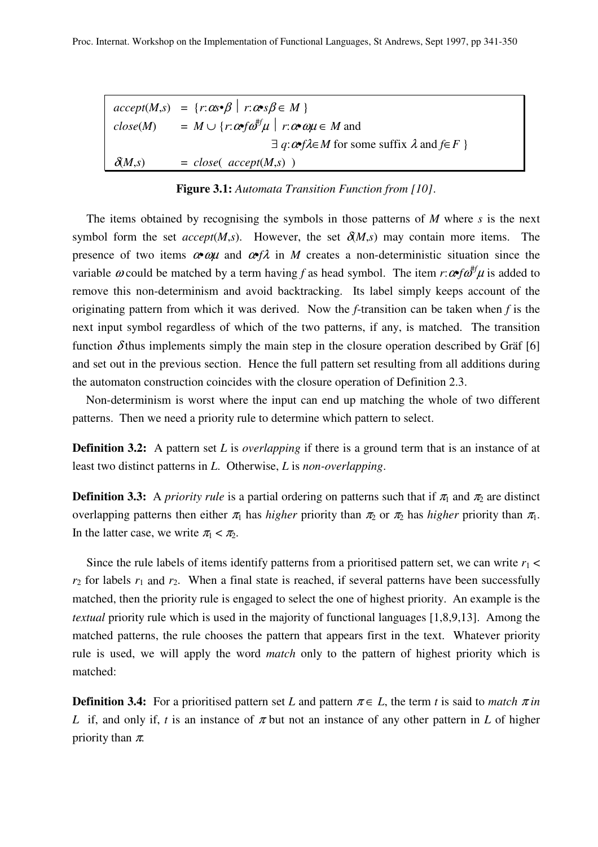|               | $accept(M,s) = \{r: \alpha s \cdot \beta \mid r: \alpha s \cdot \beta \in M\}$                                  |
|---------------|-----------------------------------------------------------------------------------------------------------------|
| close(M)      | $= M \cup \{r : \omega \in \omega^{\#} \mu \mid r : \omega \in \omega \mu \in M \text{ and } \mu \in \omega \}$ |
|               | $\exists q: \alpha \in A \in M$ for some suffix $\lambda$ and $f \in F$ }                                       |
| $\delta(M,s)$ | $= close(accept(M,s))$                                                                                          |

**Figure 3.1:** *Automata Transition Function from [10]*.

The items obtained by recognising the symbols in those patterns of *M* where *s* is the next symbol form the set *accept*(*M*,*s*). However, the set  $\delta M$ ,*s*) may contain more items. The presence of two items α*•*ωµ and α*•f*λ in *M* creates a non-deterministic situation since the variable  $\omega$  could be matched by a term having *f* as head symbol. The item  $r:\omega f \omega^{\# f} \mu$  is added to remove this non-determinism and avoid backtracking. Its label simply keeps account of the originating pattern from which it was derived. Now the *f*-transition can be taken when *f* is the next input symbol regardless of which of the two patterns, if any, is matched. The transition function  $\delta$ thus implements simply the main step in the closure operation described by Gräf [6] and set out in the previous section. Hence the full pattern set resulting from all additions during the automaton construction coincides with the closure operation of Definition 2.3.

Non-determinism is worst where the input can end up matching the whole of two different patterns. Then we need a priority rule to determine which pattern to select.

**Definition 3.2:** A pattern set *L* is *overlapping* if there is a ground term that is an instance of at least two distinct patterns in *L*. Otherwise, *L* is *non-overlapping*.

**Definition 3.3:** A *priority rule* is a partial ordering on patterns such that if  $\pi_1$  and  $\pi_2$  are distinct overlapping patterns then either  $\pi_1$  has *higher* priority than  $\pi_2$  or  $\pi_2$  has *higher* priority than  $\pi_1$ . In the latter case, we write  $\pi_1 < \pi_2$ .

Since the rule labels of items identify patterns from a prioritised pattern set, we can write  $r_1$  <  $r_2$  for labels  $r_1$  and  $r_2$ . When a final state is reached, if several patterns have been successfully matched, then the priority rule is engaged to select the one of highest priority. An example is the *textual* priority rule which is used in the majority of functional languages [1,8,9,13]. Among the matched patterns, the rule chooses the pattern that appears first in the text. Whatever priority rule is used, we will apply the word *match* only to the pattern of highest priority which is matched:

**Definition 3.4:** For a prioritised pattern set *L* and pattern  $\pi \in L$ , the term *t* is said to *match*  $\pi$  *in L* if, and only if, *t* is an instance of  $\pi$  but not an instance of any other pattern in *L* of higher priority than  $\pi$ .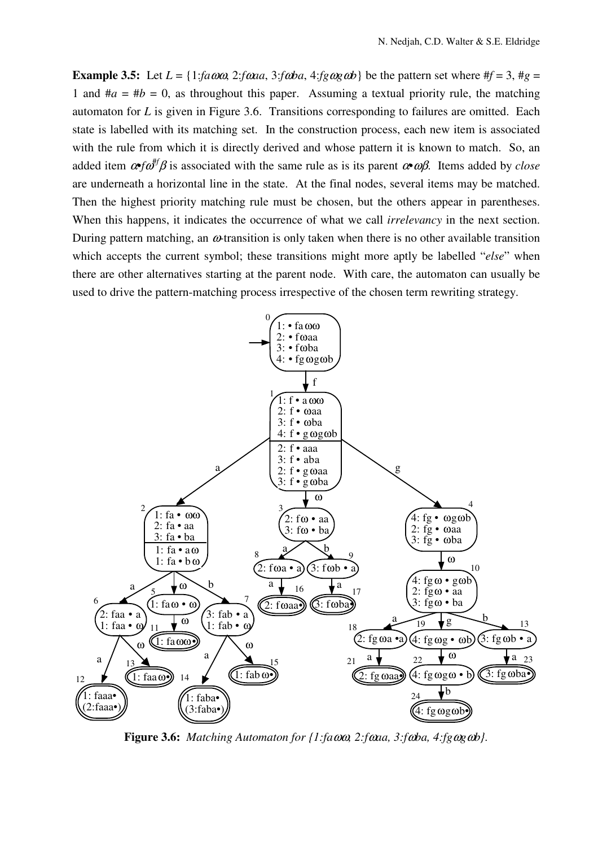**Example 3.5:** Let  $L = \{1: \text{fa} \omega \omega, 2: \text{fa} \omega a, 3: \text{fa} \omega a, 4: \text{fg} \omega \omega a\}$  be the pattern set where  $\#f = 3$ ,  $\#g =$ 1 and  $\#a = \#b = 0$ , as throughout this paper. Assuming a textual priority rule, the matching automaton for *L* is given in Figure 3.6. Transitions corresponding to failures are omitted. Each state is labelled with its matching set. In the construction process, each new item is associated with the rule from which it is directly derived and whose pattern it is known to match. So, an added item α•*f*<sup>ω</sup> #*f* β is associated with the same rule as is its parent α•ωβ. Items added by *close* are underneath a horizontal line in the state. At the final nodes, several items may be matched. Then the highest priority matching rule must be chosen, but the others appear in parentheses. When this happens, it indicates the occurrence of what we call *irrelevancy* in the next section. During pattern matching, an  $\omega$ -transition is only taken when there is no other available transition which accepts the current symbol; these transitions might more aptly be labelled "*else*" when there are other alternatives starting at the parent node. With care, the automaton can usually be used to drive the pattern-matching process irrespective of the chosen term rewriting strategy.



**Figure 3.6:** *Matching Automaton for {1:fa*ωω*, 2:f*ω*aa, 3:f*ω*ba, 4:fg*ω*g*ω*b}.*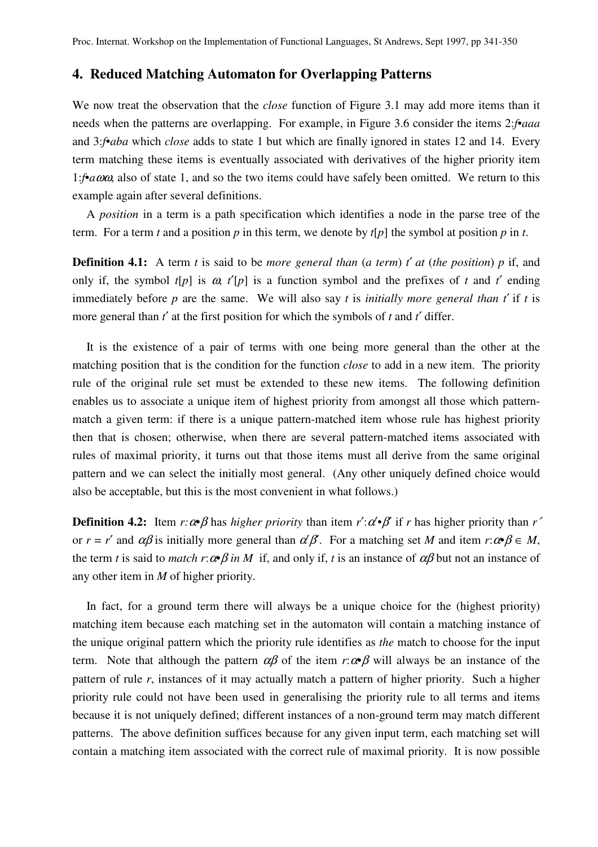## **4. Reduced Matching Automaton for Overlapping Patterns**

We now treat the observation that the *close* function of Figure 3.1 may add more items than it needs when the patterns are overlapping. For example, in Figure 3.6 consider the items 2:*f•aaa* and 3:*f•aba* which *close* adds to state 1 but which are finally ignored in states 12 and 14. Every term matching these items is eventually associated with derivatives of the higher priority item 1:*f•a*ωω, also of state 1, and so the two items could have safely been omitted. We return to this example again after several definitions.

A *position* in a term is a path specification which identifies a node in the parse tree of the term. For a term *t* and a position *p* in this term, we denote by *t*[*p*] the symbol at position *p* in *t*.

**Definition 4.1:** A term *t* is said to be *more general than* (*a term*) *t*′ *at* (*the position*) *p* if, and only if, the symbol  $t[p]$  is  $\omega$ ,  $t'[p]$  is a function symbol and the prefixes of t and t' ending immediately before *p* are the same. We will also say *t* is *initially more general than t*′ if *t* is more general than *t*′ at the first position for which the symbols of *t* and *t*′ differ.

It is the existence of a pair of terms with one being more general than the other at the matching position that is the condition for the function *close* to add in a new item. The priority rule of the original rule set must be extended to these new items. The following definition enables us to associate a unique item of highest priority from amongst all those which patternmatch a given term: if there is a unique pattern-matched item whose rule has highest priority then that is chosen; otherwise, when there are several pattern-matched items associated with rules of maximal priority, it turns out that those items must all derive from the same original pattern and we can select the initially most general. (Any other uniquely defined choice would also be acceptable, but this is the most convenient in what follows.)

**Definition 4.2:** Item  $r:\alpha \beta$  has *higher priority* than item  $r':\alpha' \beta$  if *r* has higher priority than  $r'$ or  $r = r'$  and  $\alpha\beta$  is initially more general than  $\alpha'\beta$ . For a matching set *M* and item  $r:\alpha\beta \in M$ , the term *t* is said to *match*  $r:\alpha \beta$  *in M* if, and only if, *t* is an instance of  $\alpha \beta$  but not an instance of any other item in *M* of higher priority.

In fact, for a ground term there will always be a unique choice for the (highest priority) matching item because each matching set in the automaton will contain a matching instance of the unique original pattern which the priority rule identifies as *the* match to choose for the input term. Note that although the pattern  $\alpha\beta$  of the item  $r:\alpha\beta$  will always be an instance of the pattern of rule *r*, instances of it may actually match a pattern of higher priority. Such a higher priority rule could not have been used in generalising the priority rule to all terms and items because it is not uniquely defined; different instances of a non-ground term may match different patterns. The above definition suffices because for any given input term, each matching set will contain a matching item associated with the correct rule of maximal priority. It is now possible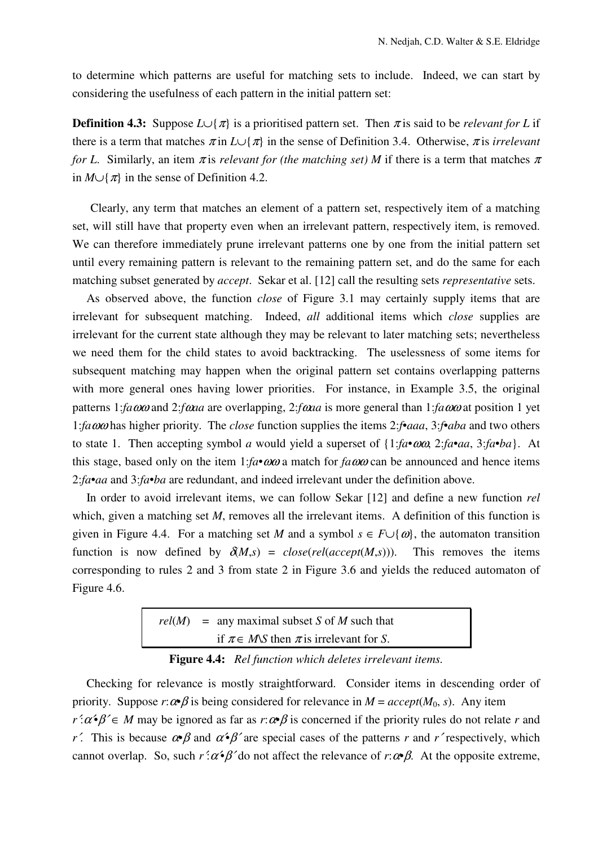to determine which patterns are useful for matching sets to include. Indeed, we can start by considering the usefulness of each pattern in the initial pattern set:

**Definition 4.3:** Suppose  $L \cup \{\pi\}$  is a prioritised pattern set. Then  $\pi$  is said to be *relevant* for L if there is a term that matches  $\pi$  in *L*∪{ $\pi$ } in the sense of Definition 3.4. Otherwise,  $\pi$  is *irrelevant for L*. Similarly, an item  $\pi$  is *relevant for (the matching set) M* if there is a term that matches  $\pi$ in  $M \cup \{\pi\}$  in the sense of Definition 4.2.

 Clearly, any term that matches an element of a pattern set, respectively item of a matching set, will still have that property even when an irrelevant pattern, respectively item, is removed. We can therefore immediately prune irrelevant patterns one by one from the initial pattern set until every remaining pattern is relevant to the remaining pattern set, and do the same for each matching subset generated by *accept*. Sekar et al. [12] call the resulting sets *representative* sets.

As observed above, the function *close* of Figure 3.1 may certainly supply items that are irrelevant for subsequent matching. Indeed, *all* additional items which *close* supplies are irrelevant for the current state although they may be relevant to later matching sets; nevertheless we need them for the child states to avoid backtracking. The uselessness of some items for subsequent matching may happen when the original pattern set contains overlapping patterns with more general ones having lower priorities. For instance, in Example 3.5, the original patterns 1:*fa*ωω and 2:*f*ω*aa* are overlapping, 2:*f*ω*aa* is more general than 1:*fa*ωω at position 1 yet 1:*fa*ωω has higher priority. The *close* function supplies the items 2:*f*•*aaa*, 3:*f*•*aba* and two others to state 1. Then accepting symbol *a* would yield a superset of {1:*fa*•ωω, 2:*fa*•*aa*, 3:*fa*•*ba*}. At this stage, based only on the item  $1:fa \cdot \omega\omega$  a match for  $fa\omega\omega$  can be announced and hence items 2:*fa*•*aa* and 3:*fa*•*ba* are redundant, and indeed irrelevant under the definition above.

In order to avoid irrelevant items, we can follow Sekar [12] and define a new function *rel* which, given a matching set *M*, removes all the irrelevant items. A definition of this function is given in Figure 4.4. For a matching set *M* and a symbol  $s \in F \cup \{\omega\}$ , the automaton transition function is now defined by  $\delta(M,s) = close(rel(accept(M,s)))$ . This removes the items corresponding to rules 2 and 3 from state 2 in Figure 3.6 and yields the reduced automaton of Figure 4.6.

|  | $rel(M)$ = any maximal subset S of M such that            |
|--|-----------------------------------------------------------|
|  | if $\pi \in M\mathcal{S}$ then $\pi$ is irrelevant for S. |

**Figure 4.4:** *Rel function which deletes irrelevant items.* 

Checking for relevance is mostly straightforward. Consider items in descending order of priority. Suppose  $r: \alpha \beta$  is being considered for relevance in  $M = accept(M_0, s)$ . Any item  $r \cdot a \cdot \beta' \in M$  may be ignored as far as  $r \cdot a \cdot \beta$  is concerned if the priority rules do not relate *r* and *r*<sup> $\prime$ </sup>. This is because  $\alpha \beta$  and  $\alpha \beta$ <sup>*'*</sup> are special cases of the patterns *r* and *r*<sup> $\prime$ </sup> respectively, which cannot overlap. So, such  $r' : \alpha \cdot \beta'$  do not affect the relevance of  $r : \alpha \cdot \beta$ . At the opposite extreme,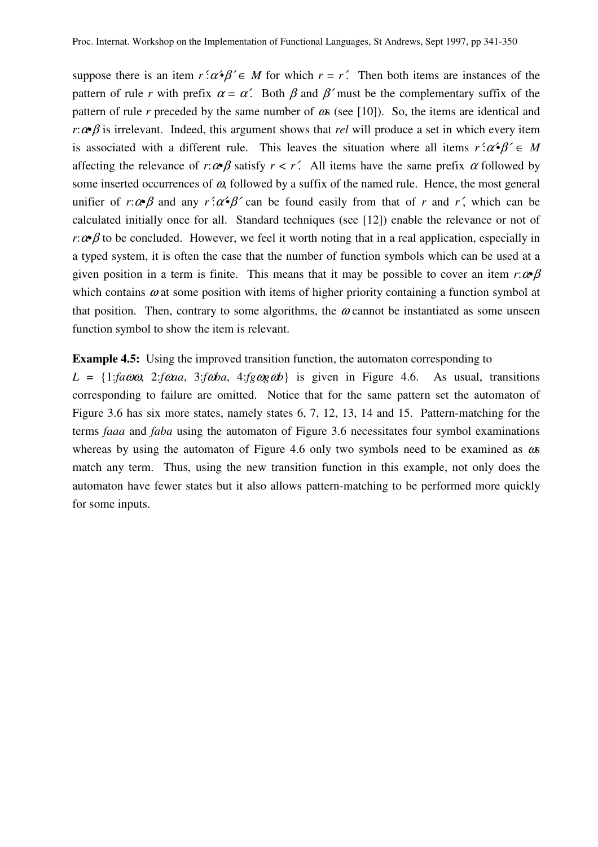suppose there is an item  $r' : \alpha \cdot \beta' \in M$  for which  $r = r'$ . Then both items are instances of the pattern of rule *r* with prefix  $\alpha = \alpha'$ . Both  $\beta$  and  $\beta'$  must be the complementary suffix of the pattern of rule *r* preceded by the same number of  $\alpha$  (see [10]). So, the items are identical and *r*: $\alpha \beta$  is irrelevant. Indeed, this argument shows that *rel* will produce a set in which every item is associated with a different rule. This leaves the situation where all items  $r' : \alpha \cdot \beta' \in M$ affecting the relevance of  $r:\alpha \beta$  satisfy  $r < r'$ . All items have the same prefix  $\alpha$  followed by some inserted occurrences of  $\omega$ , followed by a suffix of the named rule. Hence, the most general unifier of *r*: $\alpha \beta$  and any  $r \alpha' \beta'$  can be found easily from that of *r* and *r'*, which can be calculated initially once for all. Standard techniques (see [12]) enable the relevance or not of *r*: $\alpha \beta$  to be concluded. However, we feel it worth noting that in a real application, especially in a typed system, it is often the case that the number of function symbols which can be used at a given position in a term is finite. This means that it may be possible to cover an item  $r:\alpha \beta$ which contains  $\omega$  at some position with items of higher priority containing a function symbol at that position. Then, contrary to some algorithms, the  $\omega$  cannot be instantiated as some unseen function symbol to show the item is relevant.

**Example 4.5:** Using the improved transition function, the automaton corresponding to

 $L = \{1: \text{fa} \omega \omega, 2: \text{fa} \omega a, 3: \text{fa} \omega a, 4: \text{fa} \omega g \omega b\}$  is given in Figure 4.6. As usual, transitions corresponding to failure are omitted. Notice that for the same pattern set the automaton of Figure 3.6 has six more states, namely states 6, 7, 12, 13, 14 and 15. Pattern-matching for the terms *faaa* and *faba* using the automaton of Figure 3.6 necessitates four symbol examinations whereas by using the automaton of Figure 4.6 only two symbols need to be examined as  $\omega$ s match any term. Thus, using the new transition function in this example, not only does the automaton have fewer states but it also allows pattern-matching to be performed more quickly for some inputs.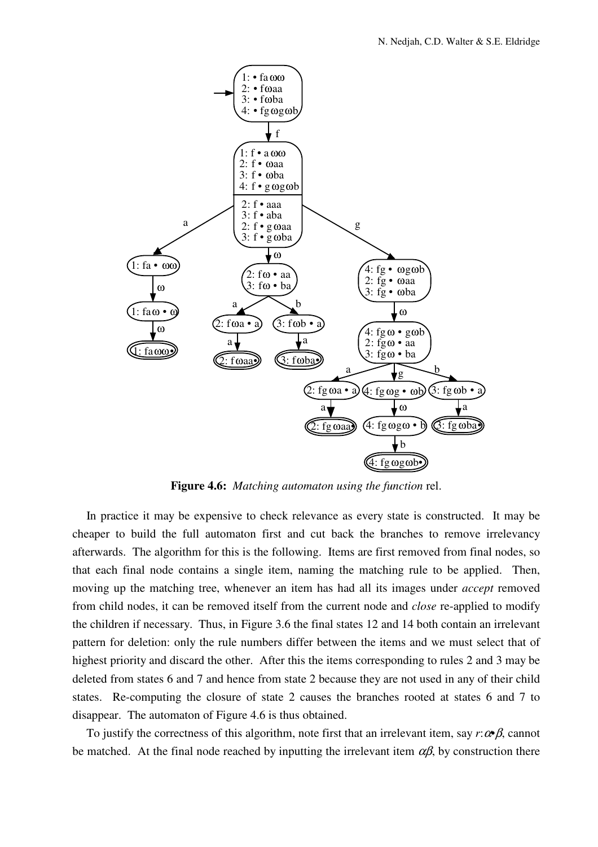

**Figure 4.6:** *Matching automaton using the function* rel.

In practice it may be expensive to check relevance as every state is constructed. It may be cheaper to build the full automaton first and cut back the branches to remove irrelevancy afterwards. The algorithm for this is the following. Items are first removed from final nodes, so that each final node contains a single item, naming the matching rule to be applied. Then, moving up the matching tree, whenever an item has had all its images under *accept* removed from child nodes, it can be removed itself from the current node and *close* re-applied to modify the children if necessary. Thus, in Figure 3.6 the final states 12 and 14 both contain an irrelevant pattern for deletion: only the rule numbers differ between the items and we must select that of highest priority and discard the other. After this the items corresponding to rules 2 and 3 may be deleted from states 6 and 7 and hence from state 2 because they are not used in any of their child states. Re-computing the closure of state 2 causes the branches rooted at states 6 and 7 to disappear. The automaton of Figure 4.6 is thus obtained.

To justify the correctness of this algorithm, note first that an irrelevant item, say *r*:α*•*β, cannot be matched. At the final node reached by inputting the irrelevant item  $\alpha\beta$ , by construction there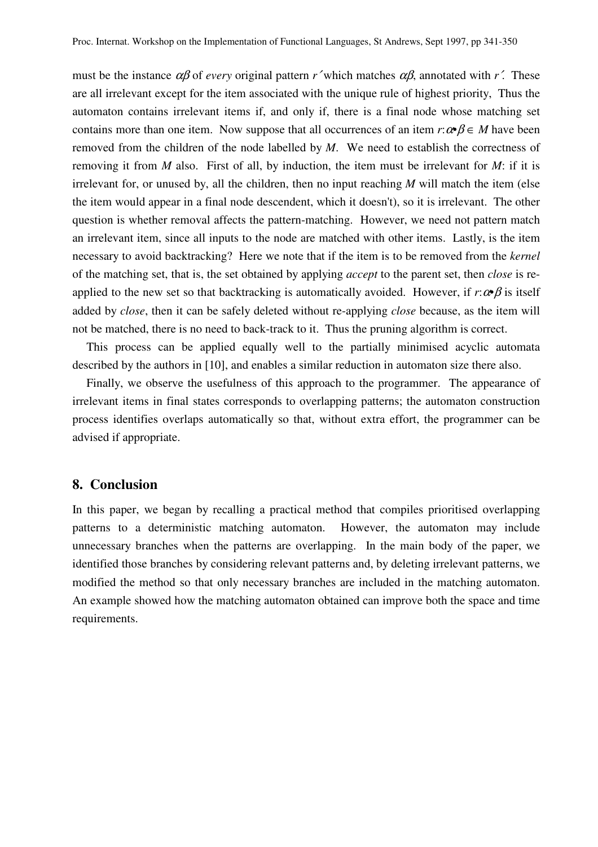must be the instance  $\alpha\beta$  of *every* original pattern *r*' which matches  $\alpha\beta$ , annotated with *r*'. These are all irrelevant except for the item associated with the unique rule of highest priority, Thus the automaton contains irrelevant items if, and only if, there is a final node whose matching set contains more than one item. Now suppose that all occurrences of an item  $r: \alpha \beta \in M$  have been removed from the children of the node labelled by *M*. We need to establish the correctness of removing it from *M* also. First of all, by induction, the item must be irrelevant for *M*: if it is irrelevant for, or unused by, all the children, then no input reaching *M* will match the item (else the item would appear in a final node descendent, which it doesn't), so it is irrelevant. The other question is whether removal affects the pattern-matching. However, we need not pattern match an irrelevant item, since all inputs to the node are matched with other items. Lastly, is the item necessary to avoid backtracking? Here we note that if the item is to be removed from the *kernel* of the matching set, that is, the set obtained by applying *accept* to the parent set, then *close* is reapplied to the new set so that backtracking is automatically avoided. However, if  $r:\alpha \beta$  is itself added by *close*, then it can be safely deleted without re-applying *close* because, as the item will not be matched, there is no need to back-track to it. Thus the pruning algorithm is correct.

This process can be applied equally well to the partially minimised acyclic automata described by the authors in [10], and enables a similar reduction in automaton size there also.

Finally, we observe the usefulness of this approach to the programmer. The appearance of irrelevant items in final states corresponds to overlapping patterns; the automaton construction process identifies overlaps automatically so that, without extra effort, the programmer can be advised if appropriate.

## **8. Conclusion**

In this paper, we began by recalling a practical method that compiles prioritised overlapping patterns to a deterministic matching automaton. However, the automaton may include unnecessary branches when the patterns are overlapping. In the main body of the paper, we identified those branches by considering relevant patterns and, by deleting irrelevant patterns, we modified the method so that only necessary branches are included in the matching automaton. An example showed how the matching automaton obtained can improve both the space and time requirements.